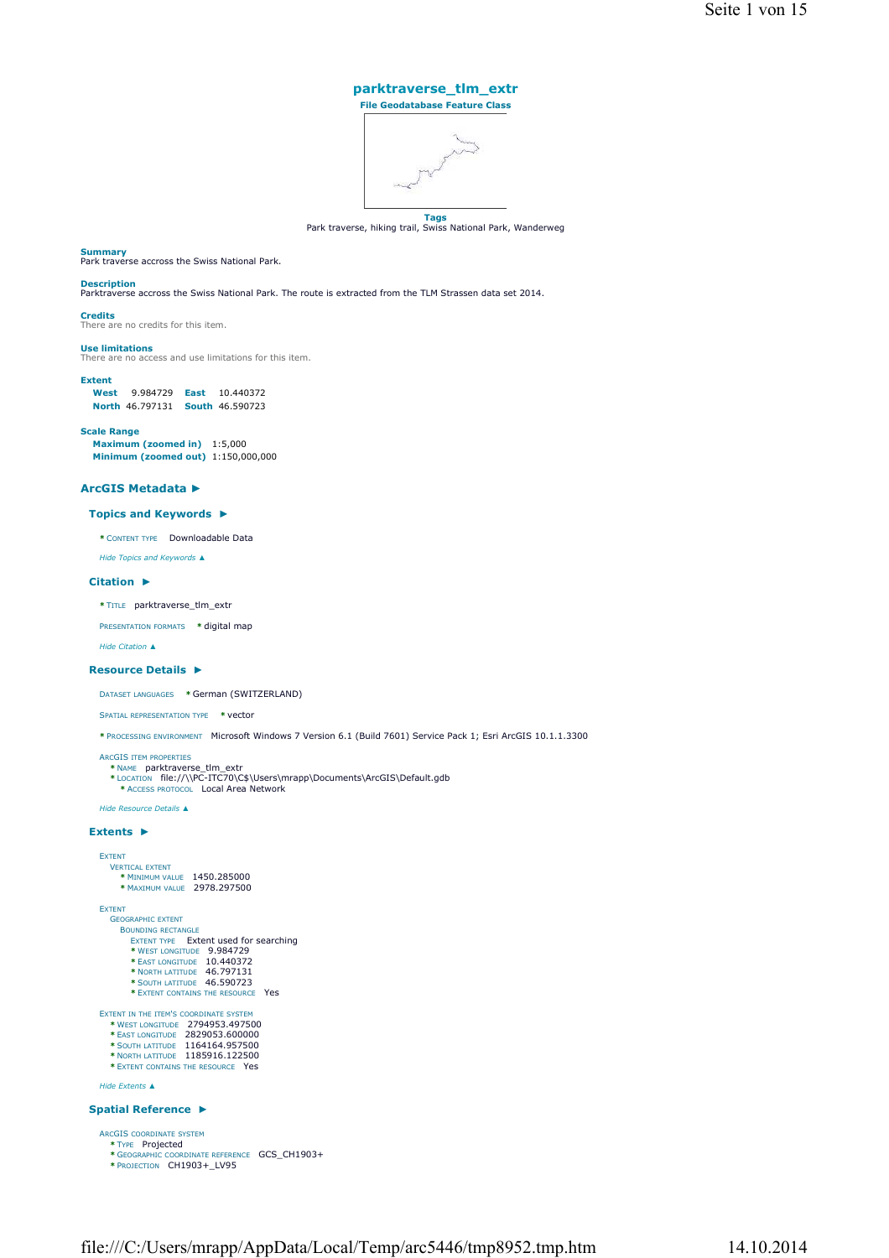## **parktraverse\_tlm\_extr File Geodatabase Feature Class**



**Tags**<br>Park traverse, hiking trail, Swiss National Park, Wanderweg

### **Summary**

Park traverse accross the Swiss National Park.

## **Description**

Parktraverse accross the Swiss National Park. The route is extracted from the TLM Strassen data set 2014.

**Credits** There are no credits for this item.

## **Use limitations**

There are no access and use limitations for this item.

## **Extent**

**West** 9.984729 **East** 10.440372 **North** 46.797131 **South** 46.590723

## **Scale Range**

**Maximum (zoomed in)** 1:5,000 **Minimum (zoomed out)** 1:150,000,000

## **ArcGIS Metadata ►**

## **Topics and Keywords ►**

**\*** CONTENT TYPE Downloadable Data

*Hide Topics and Keywords ▲*

## **Citation ►**

**\*** TITLE parktraverse\_tlm\_extr

PRESENTATION FORMATS **\*** digital map

```
Hide Citation ▲
```
## **Resource Details ►**

DATASET LANGUAGES **\*** German (SWITZERLAND)

SPATIAL REPRESENTATION TYPE **\*** vector

**\*** PROCESSING ENVIRONMENT Microsoft Windows 7 Version 6.1 (Build 7601) Service Pack 1; Esri ArcGIS 10.1.1.3300

ARCGIS ITEM PROPERTIES<br> \* NAME parktraverse\_tlm\_extr<br> \* LOCATION file://\\PC-ITC70\C\$\Users\mrapp\Documents\ArcGIS\Default.gdb

**\*** ACCESS PROTOCOL Local Area Network

*Hide Resource Details ▲*

## **Extents ►**

```
EXTENT
         VERTICAL EXTENT
* MINIMUM VALUE 1450.285000 
* MAXIMUM VALUE 2978.297500
   EXTENT
        GEOGRAPHIC EXTENT
             EXTENT TYPE Extent used for searching<br>
<b>* WEST LONGITUDE 9.984729<br>
* EAST LONGITUDE 10.440372<br>
* NORTH LATITUDE 46.797131<br>
* NORTH LATITUDE 46.790723
                 * EXTENT CONTAINS THE RESOURCE Yes
    EXTENT IN THE ITEM'S COORDINATE SYSTEM<br>
* WEST LONGITUDE 2829053.607500<br>
* EAST LONGITUDE 2829053.600000<br>
* SOUTH LATITUDE 1164164.957500<br>
* NORTH LATITUDE 1185916.122500
        * EXTENT CONTAINS THE RESOURCE Yes
   Hide Extents ▲
Spatial Reference 
►
   ARCGIS COORDINATE SYSTEM
        * TYPE Projected 
         * GEOGRAPHIC COORDINATE REFERENCE GCS_CH1903+ 
* PROJECTION CH1903+_LV95
```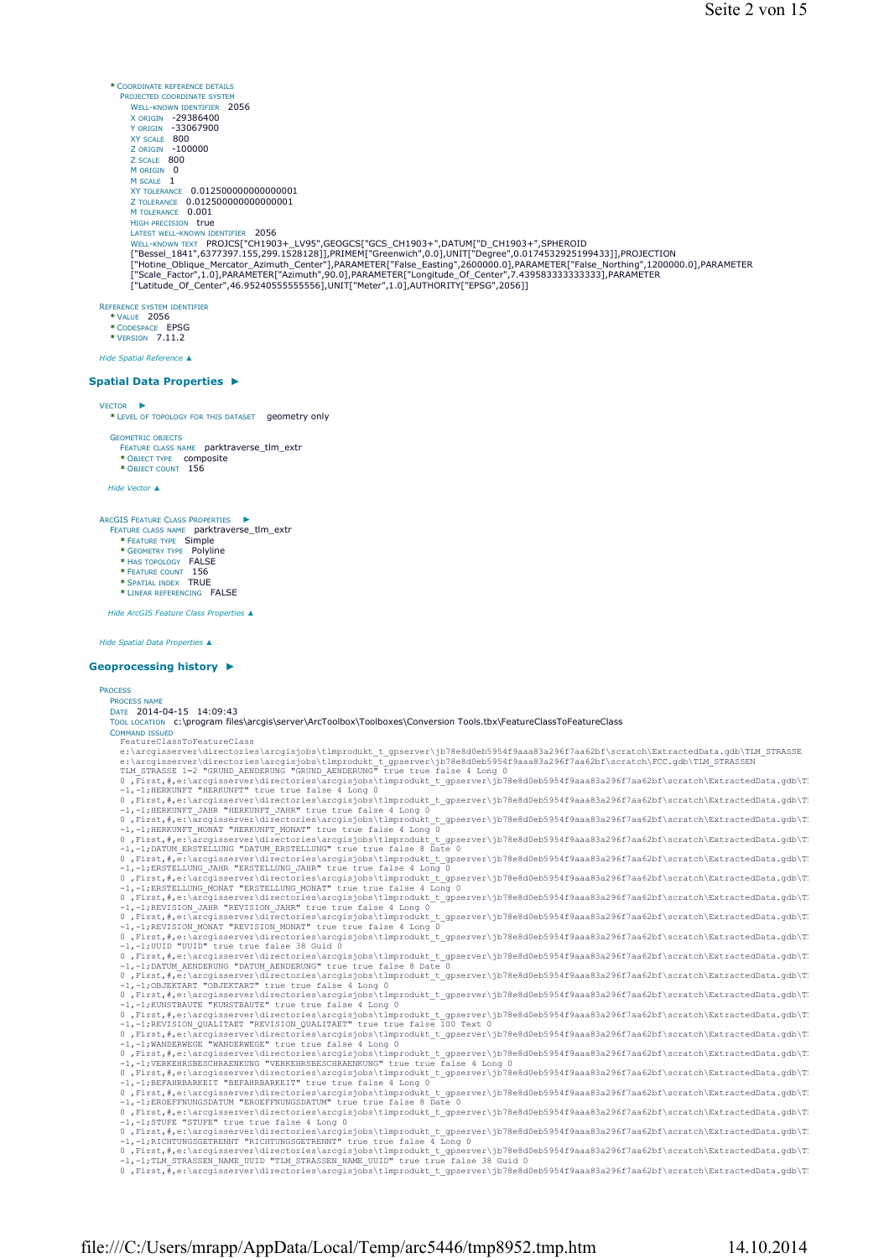**\*** COORDINATE REFERENCE DETAILS PROJECTED COORDINATE SYSTEM WELL-KNOWN IDENTIFIER 2056 X ORIGIN -29386400 Y ORIGIN -33067900 XY SCALE 800 Z ORIGIN -100000 Z SCALE 800 M ORIGIN 0 M SCALE 1 **XY TOLERANCE 0.0125000000000000001** Z TOLERANCE 0.012500000000000001 M TOLERANCE 0.001 HIGH PRECISION true LATEST WELL-KNOWN IDENTIFIER 2056<br>WELL-KNOWN TEXT **PROJCS["CH1903+\_LV95",GEOGCS["GCS\_CH1903+",DATUM["D\_CH1903+",SPHEROID** ["Bessel\_1841",6377397.155,299.1528128]],PRIMEM["Greenwich",0.0],UNIT["Degree",0.0174532925199433]],PROJECTION<br>["Hotine\_Oblique\_Mercator\_Azimuth\_Center"],PARAMETER["False\_Easting",2600000.0],PARAMETER["False\_Northing",1200 REFERENCE SYSTEM IDENTIFIER **\*** VALUE 2056

**\*** CODESPACE EPSG **\*** VERSION 7.11.2

*Hide Spatial Reference ▲*

## **Spatial Data Properties ►**

#### VECTOR

**\*** LEVEL OF TOPOLOGY FOR THIS DATASET geometry only ►

GEOMETRIC OBJECTS

FEATURE CLASS NAME parktraverse\_tlm\_extr

**\*** OBJECT TYPE composite **\*** OBJECT COUNT 156

*Hide Vector ▲*

#### ARCGIS FEATURE CLASS PROPERTIES ►

FEATURE CLASS NAME parktraverse\_tlm\_extr **\*** FEATURE TYPE Simple

- **\*** GEOMETRY TYPE Polyline
- **\*** HAS TOPOLOGY FALSE **\*** FEATURE COUNT 156
- **\*** SPATIAL INDEX TRUE
- **\*** LINEAR REFERENCING FALSE

*Hide ArcGIS Feature Class Properties ▲*

## *Hide Spatial Data Properties ▲*

## **Geoprocessing history ►**

PROCESS PROCESS NAM DATE 2014-04-15 14:09:43 TOOL LOCATION c:\program files\arcgis\server\ArcToolbox\Toolboxes\Conversion Tools.tbx\FeatureClassToFeatureClass COMMAN ISSUE For the control interpret of the control of the server (1578-8800-b5954f9aaa83a296f7aa62bf\scratch\ExtractedData.gdb\TLM\_STRASSE<br>
e:\arcgisserver\directories\arcgisjobs\tlmprodukt\_t\_gpserver\jb78e8d0eb5954f9aa 0 ,First,#,e:\arcgisserver\directories\arcgisjobs\tlmprodukt\_t\_gpserver\jb78e8d0eb5954f9aaa83a296f7aa62bf\scratch\ExtractedData.gdb\Tl -1,-1;REVISION\_MONAT "REVISION\_MONAT" true true false 4 Long 0 0, First, #, et largisserver\directories\arcqisjobs\thmprodukt\_t\_gserver\jb78e8d0eb5954f9aaa83a296f7aa62bf\scratch\ExtractedData.gdb\T.<br>0, First,#, et largisserver\directories\arcqisjobs\thmprodukt\_t\_gserver\jb78e8d0eb5954 -1,-1;RICHTUNGSGETRENNT "RICHTUNGSGETRENNT" true true false 4 Long 0<br>0,First,#,e:\arcgisserver\directories\arcgisjobs\t1mprodukt\_t\_gpserver\jb78e8d0eb5954f9aaa83a296f7aa62bf\scratch\ExtractedData.gdb\T<br>-1,-1;TLM\_STRASSEN\_N 0 ,First,#,e:\arcgisserver\directories\arcgisjobs\tlmprodukt\_t\_gpserver\jb78e8d0eb5954f9aaa83a296f7aa62bf\scratch\ExtractedData.gdb\TL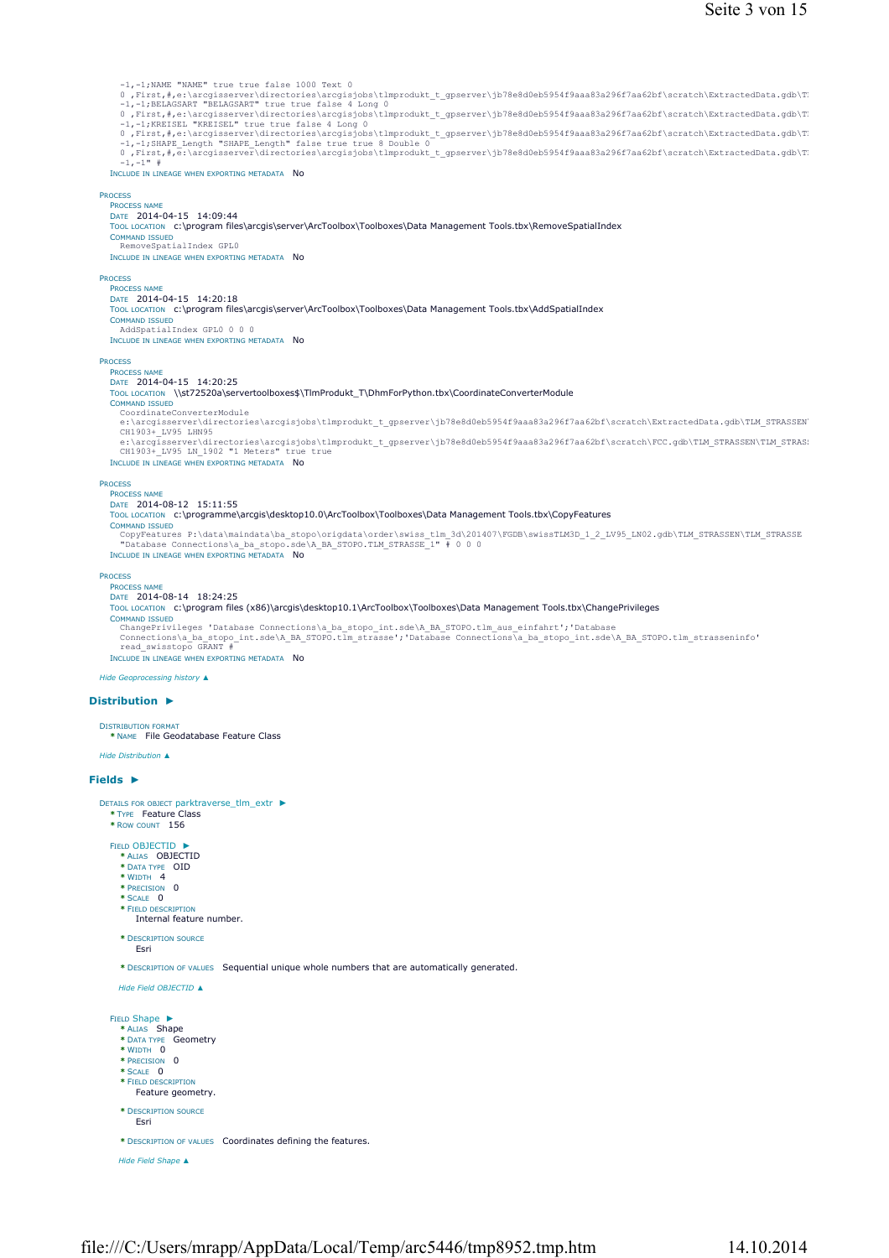| -1,-1; NAME "NAME" true true false 1000 Text 0<br>0, First, #, e:\arcgisserver\directories\arcgisjobs\tlmprodukt t gpserver\jb78e8d0eb5954f9aaa83a296f7aa62bf\scratch\ExtractedData.gdb\T                                        |
|----------------------------------------------------------------------------------------------------------------------------------------------------------------------------------------------------------------------------------|
| -1,-1; BELAGSART "BELAGSART" true true false 4 Long 0<br>0, First,#,e:\arcgisserver\directories\arcgisjobs\tlmprodukt t gpserver\jb78e8d0eb5954f9aaa83a296f7aa62bf\scratch\ExtractedData.gdb\T                                   |
| -1,-1; KREISEL "KREISEL" true true false 4 Long 0<br>0, First, #, e:\arcgisserver\directories\arcgisjobs\tlmprodukt t gpserver\jb78e8d0eb5954f9aaa83a296f7aa62bf\scratch\ExtractedData.gdb\T                                     |
| $-1, -1$ ; SHAPE Length "SHAPE Length" false true true 8 Double 0<br>0, First, #, e:\arcgisserver\directories\arcgisjobs\tlmprodukt t gpserver\jb78e8d0eb5954f9aaa83a296f7aa62bf\scratch\ExtractedData.gdb\T                     |
| $-1, -1"$ #<br>INCLUDE IN LINEAGE WHEN EXPORTING METADATA NO                                                                                                                                                                     |
| <b>PROCESS</b>                                                                                                                                                                                                                   |
| <b>PROCESS NAME</b><br>DATE 2014-04-15 14:09:44                                                                                                                                                                                  |
| TOOL LOCATION c:\program files\arcgis\server\ArcToolbox\Toolboxes\Data Management Tools.tbx\RemoveSpatialIndex                                                                                                                   |
| <b>COMMAND ISSUED</b><br>RemoveSpatialIndex GPLO                                                                                                                                                                                 |
| INCLUDE IN LINEAGE WHEN EXPORTING METADATA NO                                                                                                                                                                                    |
| <b>PROCESS</b><br><b>PROCESS NAME</b>                                                                                                                                                                                            |
| DATE 2014-04-15 14:20:18<br>TOOL LOCATION c:\program files\arcgis\server\ArcToolbox\Toolboxes\Data Management Tools.tbx\AddSpatialIndex                                                                                          |
| <b>COMMAND ISSUED</b><br>AddSpatialIndex GPL0 0 0 0                                                                                                                                                                              |
| INCLUDE IN LINEAGE WHEN EXPORTING METADATA NO                                                                                                                                                                                    |
| <b>PROCESS</b><br><b>PROCESS NAME</b>                                                                                                                                                                                            |
| DATE 2014-04-15 14:20:25<br>TOOL LOCATION \\st72520a\servertoolboxes\$\TImProdukt_T\DhmForPython.tbx\CoordinateConverterModule                                                                                                   |
| <b>COMMAND ISSUED</b><br>CoordinateConverterModule                                                                                                                                                                               |
| e:\arcgisserver\directories\arcgisjobs\tlmprodukt t gpserver\jb78e8d0eb5954f9aaa83a296f7aa62bf\scratch\ExtractedData.gdb\TLM STRASSEN<br>CH1903+ LV95 LHN95                                                                      |
| e:\arcgisserver\directories\arcgisjobs\tlmprodukt t gpserver\jb78e8d0eb5954f9aaa83a296f7aa62bf\scratch\FCC.gdb\TLM STRASSEN\TLM STRAS:<br>CH1903+ LV95 LN 1902 "1 Meters" true true                                              |
| INCLUDE IN LINEAGE WHEN EXPORTING METADATA NO                                                                                                                                                                                    |
| <b>PROCESS</b><br><b>PROCESS NAME</b>                                                                                                                                                                                            |
| DATE 2014-08-12 15:11:55<br>TOOL LOCATION c:\programme\arcgis\desktop10.0\ArcToolbox\Toolboxes\Data Management Tools.tbx\CopyFeatures                                                                                            |
| <b>COMMAND ISSUED</b><br>CopyFeatures P:\data\maindata\ba stopo\origdata\order\swiss tlm 3d\201407\FGDB\swissTLM3D 1 2 LV95 LN02.gdb\TLM STRASSEN\TLM STRASSE                                                                    |
| "Database Connections\a ba stopo.sde\A BA STOPO.TLM STRASSE 1" # 0 0 0<br>INCLUDE IN LINEAGE WHEN EXPORTING METADATA NO                                                                                                          |
| <b>PROCESS</b>                                                                                                                                                                                                                   |
| <b>PROCESS NAME</b><br>DATE 2014-08-14 18:24:25                                                                                                                                                                                  |
| TOOL LOCATION c:\program files (x86)\arcgis\desktop10.1\ArcToolbox\Toolboxes\Data Management Tools.tbx\ChangePrivileges<br><b>COMMAND ISSUED</b>                                                                                 |
| ChangePrivileges 'Database Connections\a_ba_stopo_int.sde\A_BA_STOPO.tlm_aus_einfahrt';'Database<br>Connections\a ba stopo int.sde\A BA STOPO.tlm strasse';'Database Connections\a ba stopo int.sde\A BA STOPO.tlm strasseninfo' |
| read swisstopo GRANT #<br>INCLUDE IN LINEAGE WHEN EXPORTING METADATA NO                                                                                                                                                          |
| Hide Geoprocessing history ▲                                                                                                                                                                                                     |
| Distribution $\blacktriangleright$                                                                                                                                                                                               |
| <b>DISTRIBUTION FORMAT</b>                                                                                                                                                                                                       |
| * NAME File Geodatabase Feature Class                                                                                                                                                                                            |
| Hide Distribution ▲                                                                                                                                                                                                              |
| Fields $\blacktriangleright$                                                                                                                                                                                                     |
| DETAILS FOR OBJECT parktraverse_tlm_extr ▶<br>* TYPE Feature Class                                                                                                                                                               |
| * ROW COUNT 156                                                                                                                                                                                                                  |
| FIELD OBJECTID ▶<br>* ALIAS OBJECTID                                                                                                                                                                                             |
| * DATA TYPE OID<br>* WIDTH 4                                                                                                                                                                                                     |
| * PRECISION 0<br>* SCALE 0                                                                                                                                                                                                       |
| * FIELD DESCRIPTION<br>Internal feature number.                                                                                                                                                                                  |
| * DESCRIPTION SOURCE                                                                                                                                                                                                             |
| Esri                                                                                                                                                                                                                             |
| * DESCRIPTION OF VALUES Sequential unique whole numbers that are automatically generated.                                                                                                                                        |
| Hide Field OBJECTID ▲                                                                                                                                                                                                            |
| FIELD Shape ▶                                                                                                                                                                                                                    |
| * ALIAS Shape<br>* DATA TYPE Geometry                                                                                                                                                                                            |
| * WIDTH 0<br>* PRECISION 0                                                                                                                                                                                                       |
| * SCALE 0<br>* FIELD DESCRIPTION                                                                                                                                                                                                 |
| Feature geometry.                                                                                                                                                                                                                |
| * DESCRIPTION SOURCE<br>Esri                                                                                                                                                                                                     |
| * DESCRIPTION OF VALUES Coordinates defining the features.                                                                                                                                                                       |
|                                                                                                                                                                                                                                  |

*Hide Field Shape ▲*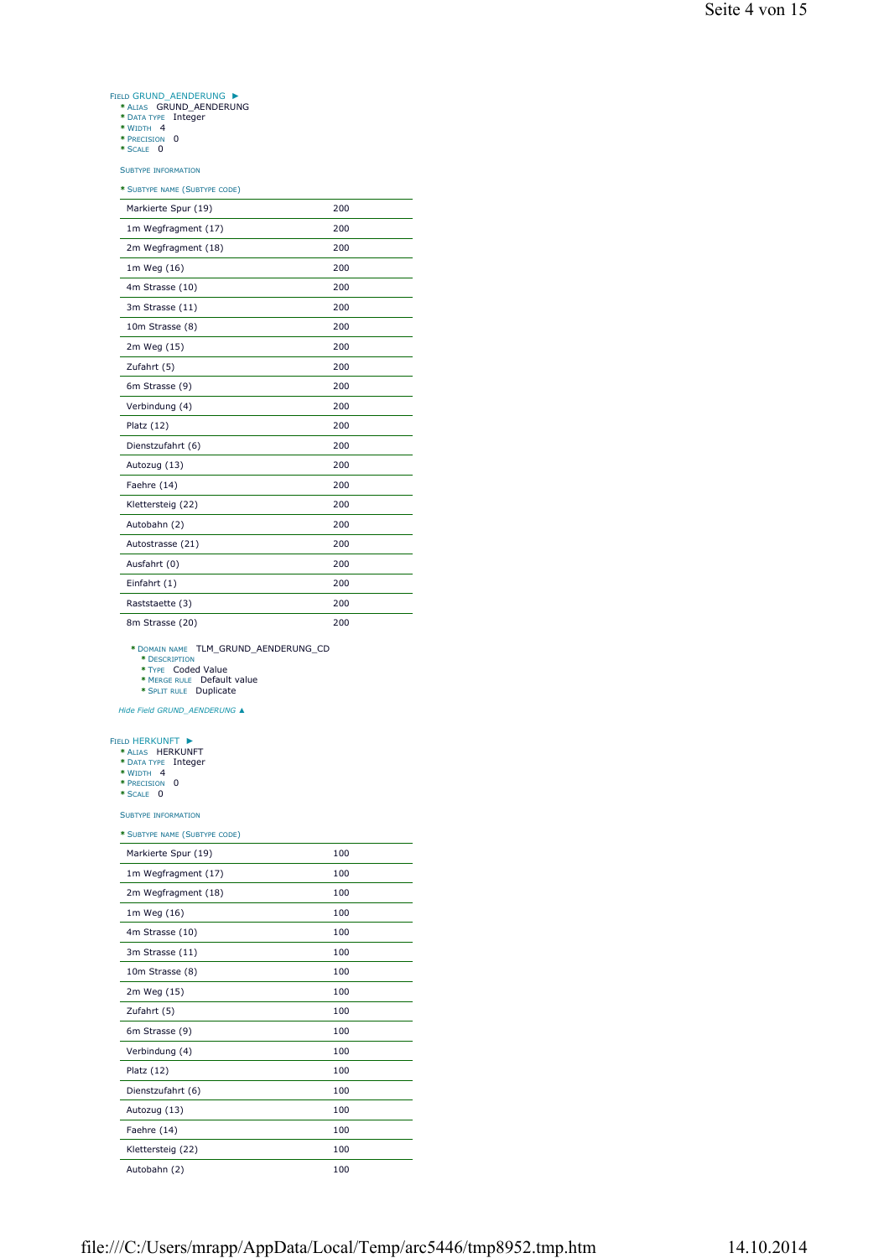# FIELD GRUND\_AENDERUNG **|\***<br> **\*** ALIAS GRUND\_AENDERUNG<br> **\*** DATA TYPE Integer<br> **\*** WIDTH 4<br> **\*** PRECISION 0<br> **\*** PRECISION ►

- 
- 
- 
- 

SUBTYPE INFORMATION

| * SUBTYPE NAME (SUBTYPE CODE) |     |
|-------------------------------|-----|
| Markierte Spur (19)           | 200 |
| 1m Wegfragment (17)           | 200 |
| 2m Wegfragment (18)           | 200 |
| 1m Weg (16)                   | 200 |
| 4m Strasse (10)               | 200 |
| 3m Strasse (11)               | 200 |
| 10m Strasse (8)               | 200 |
| 2m Weg (15)                   | 200 |
| Zufahrt (5)                   | 200 |
| 6m Strasse (9)                | 200 |
| Verbindung (4)                | 200 |
| Platz $(12)$                  | 200 |
| Dienstzufahrt (6)             | 200 |
| Autozug (13)                  | 200 |
| Faehre (14)                   | 200 |
| Klettersteig (22)             | 200 |
| Autobahn (2)                  | 200 |
| Autostrasse (21)              | 200 |
| Ausfahrt (0)                  | 200 |
| Einfahrt (1)                  | 200 |
| Raststaette (3)               | 200 |
| 8m Strasse (20)               | 200 |

**\*** DOMAIN NAME TLM\_GRUND\_AENDERUNG\_CD **\*** DESCRIPTION **\*** TYPE Coded Value **\*** MERGE RULE Default value **\*** SPLIT RULE Duplicate

- 
- 
- 

*Hide Field GRUND\_AENDERUNG ▲*

## ►

- FIELD HERKUNFT **\*** ALIAS HERKUNFT **\*** DATA TYPE Integer **\*** WIDTH 4 **\*** PRECISION 0 **\*** SCALE 0
	-
- 
- 

SUBTYPE INFORMATION

| * SUBTYPE NAME (SUBTYPE CODE) |     |  |
|-------------------------------|-----|--|
| Markierte Spur (19)           | 100 |  |
| 1m Wegfragment (17)           | 100 |  |
| 2m Wegfragment (18)           | 100 |  |
| 1m Weg (16)                   | 100 |  |
| 4m Strasse (10)               | 100 |  |
| 3m Strasse (11)               | 100 |  |
| 10m Strasse (8)               | 100 |  |
| 2m Weg (15)                   | 100 |  |
| Zufahrt (5)                   | 100 |  |
| 6m Strasse (9)                | 100 |  |
| Verbindung (4)                | 100 |  |
| Platz $(12)$                  | 100 |  |
| Dienstzufahrt (6)             | 100 |  |
| Autozug (13)                  | 100 |  |
| Faehre (14)                   | 100 |  |
| Klettersteig (22)             | 100 |  |
| Autobahn (2)                  | 100 |  |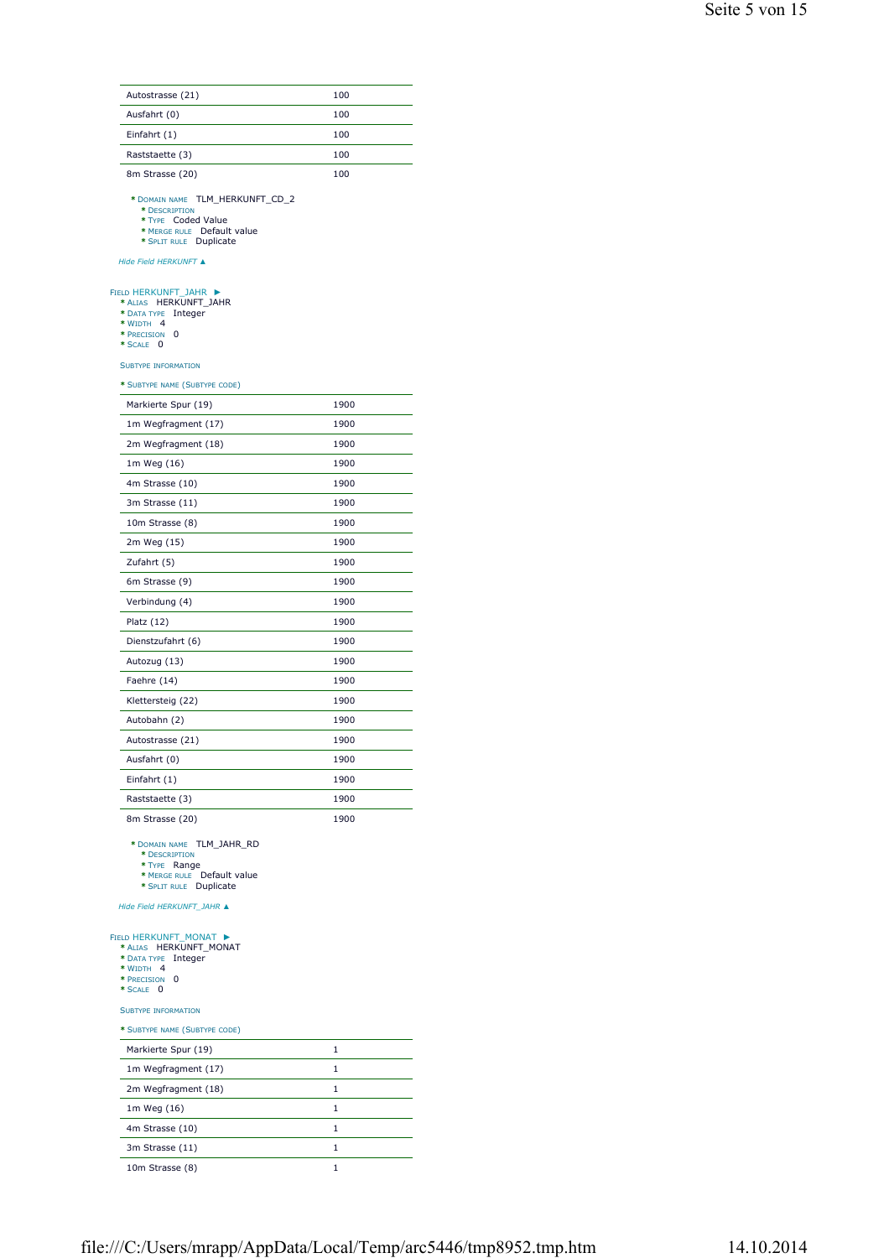| Autostrasse (21)                                                                                                                                        | 100  |
|---------------------------------------------------------------------------------------------------------------------------------------------------------|------|
| Ausfahrt (0)                                                                                                                                            | 100  |
| Einfahrt (1)                                                                                                                                            | 100  |
| Raststaette (3)                                                                                                                                         | 100  |
| 8m Strasse (20)                                                                                                                                         | 100  |
| * DOMAIN NAME TLM_HERKUNFT_CD_2<br>* DESCRIPTION<br>* TYPE Coded Value<br>* MERGE RULE Default value<br>* SPLIT RULE Duplicate<br>Hide Field HERKUNFT ▲ |      |
| FIELD HERKUNFT_JAHR ▶<br>* ALIAS HERKUNFT_JAHR<br>* DATA TYPE<br>Integer<br>* WIDTH 4<br>* PRECISION<br>0<br>* SCALE 0<br><b>SUBTYPE INFORMATION</b>    |      |
| * SUBTYPE NAME (SUBTYPE CODE)                                                                                                                           |      |
| Markierte Spur (19)                                                                                                                                     | 1900 |
| 1m Wegfragment (17)                                                                                                                                     | 1900 |
| 2m Wegfragment (18)                                                                                                                                     | 1900 |
| 1m Weg (16)                                                                                                                                             | 1900 |
| 4m Strasse (10)                                                                                                                                         | 1900 |
| 3m Strasse (11)                                                                                                                                         | 1900 |
| 10m Strasse (8)                                                                                                                                         | 1900 |
| 2m Weg (15)                                                                                                                                             | 1900 |
| Zufahrt (5)                                                                                                                                             | 1900 |
| 6m Strasse (9)                                                                                                                                          | 1900 |
| Verbindung (4)                                                                                                                                          | 1900 |
| Platz $(12)$                                                                                                                                            | 1900 |
| Dienstzufahrt (6)                                                                                                                                       | 1900 |
| Autozug (13)                                                                                                                                            | 1900 |
| Faehre (14)                                                                                                                                             | 1900 |
| Klettersteig (22)                                                                                                                                       | 1900 |
| Autobahn (2)                                                                                                                                            | 1900 |
| Autostrasse (21)                                                                                                                                        | 1900 |
| Ausfahrt (0)                                                                                                                                            | 1900 |
| Einfahrt (1)                                                                                                                                            | 1900 |
| Raststaette (3)                                                                                                                                         | 1900 |
| 8m Strasse (20)                                                                                                                                         | 1900 |
| * DOMAIN NAME TLM_JAHR_RD<br>* DESCRIPTION<br>* TYPE Range<br>* MERGE RULE Default value<br>* SPLIT RULE Duplicate<br>Hide Field HERKUNFT_JAHR ▲        |      |
| FIELD HERKUNFT_MONAT ▶<br>* ALIAS HERKUNFT_MONAT<br>* DATA TYPE<br>Integer<br>* WIDTH 4<br>* PRECISION<br>0<br>* SCALE 0<br><b>SUBTYPE INFORMATION</b>  |      |
| * SUBTYPE NAME (SUBTYPE CODE)                                                                                                                           |      |
| Markierte Spur (19)                                                                                                                                     | 1    |
| 1m Wegfragment (17)                                                                                                                                     | 1    |
| 2m Wegfragment (18)                                                                                                                                     | 1    |
| 1m Weg (16)                                                                                                                                             | 1    |
| 4m Strasse (10)                                                                                                                                         | 1    |
| 3m Strasse (11)                                                                                                                                         | 1    |
| 10m Strasse (8)                                                                                                                                         | 1    |
|                                                                                                                                                         |      |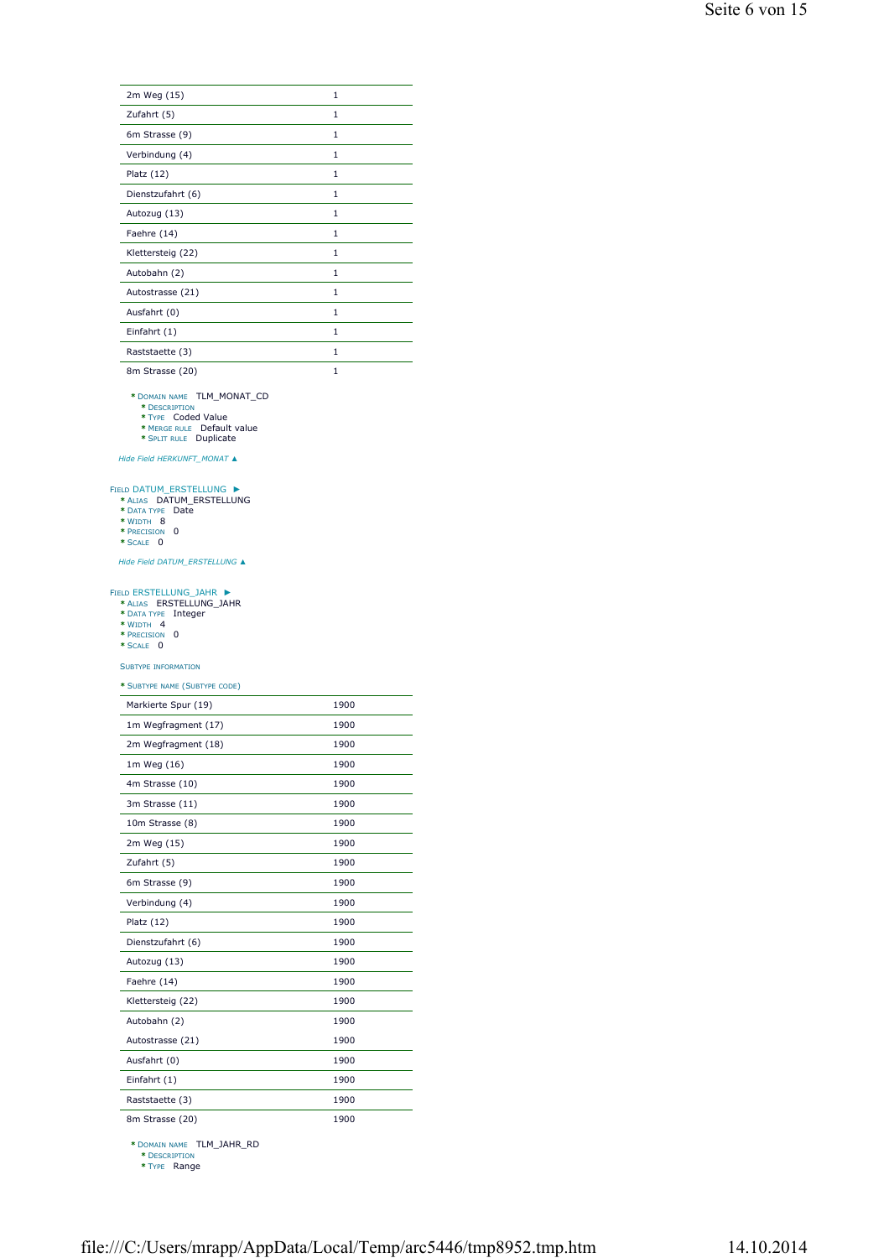| 2m Weg (15)       | 1            |
|-------------------|--------------|
| Zufahrt (5)       | 1            |
| 6m Strasse (9)    | 1            |
| Verbindung (4)    | 1            |
| Platz $(12)$      | 1            |
| Dienstzufahrt (6) | 1            |
| Autozug (13)      | 1            |
| Faehre (14)       | 1            |
| Klettersteig (22) | 1            |
| Autobahn (2)      | 1            |
| Autostrasse (21)  | 1            |
| Ausfahrt (0)      | 1            |
| Einfahrt (1)      | 1            |
| Raststaette (3)   | 1            |
| 8m Strasse (20)   | $\mathbf{1}$ |

**\*** DOMAIN NAME TLM\_MONAT\_CD **\*** DESCRIPTION **\*** TYPE Coded Value **\*** MERGE RULE Default value **\*** SPLIT RULE Duplicate

- 
- 
- 

*Hide Field HERKUNFT\_MONAT ▲*

## FIELD DATUM\_ERSTELLUNG <br> **\*** ALIAS DATUM\_ERSTELLUNG<br>
\* DATA TYPE Date<br>
\* WIDTH 8<br>
\* PRECISION 0<br>
\* PRECISION 0 ►

- 
- 
- 
- 

*Hide Field DATUM\_ERSTELLUNG ▲*

#### FIELD ERSTELLUNG\_JAHR ►

- **\*** ALIAS ERSTELLUNG\_JAHR **\*** DATA TYPE Integer **\*** WIDTH 4 **\*** PRECISION 0 **\*** SCALE 0
- 
- 
- 

## SUBTYPE INFORMATION

## **\*** SUBTYPE NAME (SUBTYPE CODE)

| Markierte Spur (19) | 1900 |
|---------------------|------|
| 1m Wegfragment (17) | 1900 |
| 2m Wegfragment (18) | 1900 |
| 1m Weg (16)         | 1900 |
| 4m Strasse (10)     | 1900 |
| 3m Strasse (11)     | 1900 |
| 10m Strasse (8)     | 1900 |
| 2m Weg (15)         | 1900 |
| Zufahrt (5)         | 1900 |
| 6m Strasse (9)      | 1900 |
| Verbindung (4)      | 1900 |
| Platz $(12)$        | 1900 |
| Dienstzufahrt (6)   | 1900 |
| Autozug (13)        | 1900 |
| Faehre (14)         | 1900 |
| Klettersteig (22)   | 1900 |
| Autobahn (2)        | 1900 |
| Autostrasse (21)    | 1900 |
| Ausfahrt (0)        | 1900 |
| Einfahrt (1)        | 1900 |
| Raststaette (3)     | 1900 |
| 8m Strasse (20)     | 1900 |

**\*** DOMAIN NAME TLM\_JAHR\_RD **\*** DESCRIPTION

**\*** TYPE Range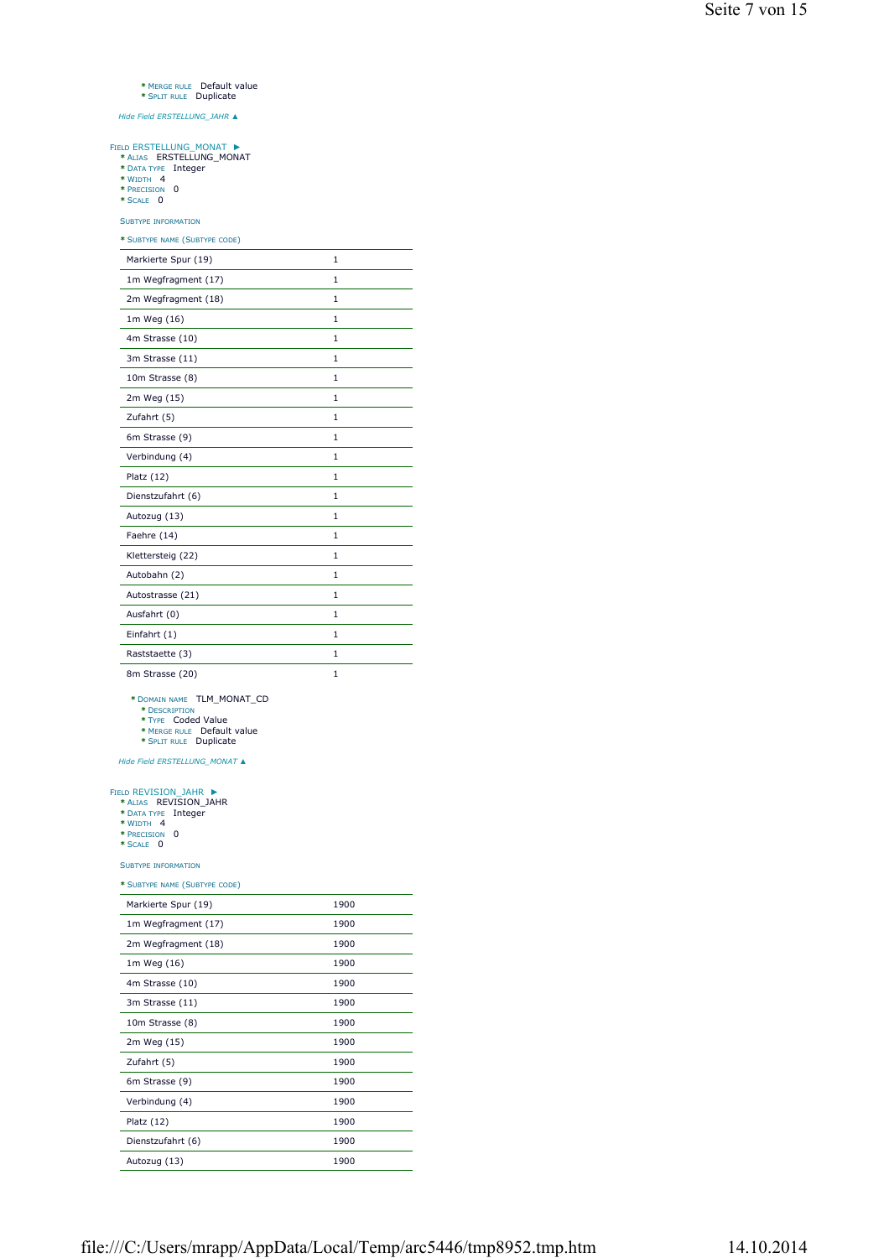## **\*** MERGE RULE Default value **\*** SPLIT RULE Duplicate

*Hide Field ERSTELLUNG\_JAHR ▲*

#### FIELD ERSTELLUNG\_MONAT ►

- **\*** ALIAS ERSTELLUNG\_MONAT **\*** DATA TYPE Integer **\*** WIDTH 4 **\*** PRECISION 0 **\*** SCALE 0
- 
- 
- 

SUBTYPE INFORMATION

**\*** SUBTYPE NAME (SUBTYPE CODE)

| Markierte Spur (19) | $\mathbf{1}$ |
|---------------------|--------------|
| 1m Wegfragment (17) | $\mathbf{1}$ |
| 2m Wegfragment (18) | 1            |
| 1m Weg (16)         | 1            |
| 4m Strasse (10)     | $\mathbf{1}$ |
| 3m Strasse (11)     | $\mathbf{1}$ |
| 10m Strasse (8)     | $\mathbf{1}$ |
| 2m Weg (15)         | 1            |
| Zufahrt (5)         | 1            |
| 6m Strasse (9)      | 1            |
| Verbindung (4)      | 1            |
| Platz $(12)$        | $\mathbf{1}$ |
| Dienstzufahrt (6)   | $\mathbf{1}$ |
| Autozug (13)        | 1            |
| Faehre (14)         | 1            |
| Klettersteig (22)   | $\mathbf{1}$ |
| Autobahn (2)        | 1            |
| Autostrasse (21)    | $\mathbf{1}$ |
| Ausfahrt (0)        | 1            |
| Einfahrt (1)        | $\mathbf{1}$ |
| Raststaette (3)     | 1            |
| 8m Strasse (20)     | 1            |

**\*** DOMAIN NAME TLM\_MONAT\_CD **\*** DESCRIPTION **\*** TYPE Coded Value **\*** MERGE RULE Default value **\*** SPLIT RULE Duplicate

*Hide Field ERSTELLUNG\_MONAT ▲*

#### ►

FIELD REVISION\_JAHR <br> **\*** Alias REVISION\_JAHR<br> **\*** DATA TYPE Integer<br> **\*** WIDTH 4<br> **\*** PRECISION 0<br> **\*** SCALE 0

- 
- 

### SUBTYPE INFORMATION

| Markierte Spur (19) | 1900 |
|---------------------|------|
| 1m Wegfragment (17) | 1900 |
| 2m Wegfragment (18) | 1900 |
| 1m Weg (16)         | 1900 |
| 4m Strasse (10)     | 1900 |
| 3m Strasse (11)     | 1900 |
| 10m Strasse (8)     | 1900 |
| 2m Weg (15)         | 1900 |
| Zufahrt (5)         | 1900 |
| 6m Strasse (9)      | 1900 |
| Verbindung (4)      | 1900 |
| Platz $(12)$        | 1900 |
| Dienstzufahrt (6)   | 1900 |
| Autozug (13)        | 1900 |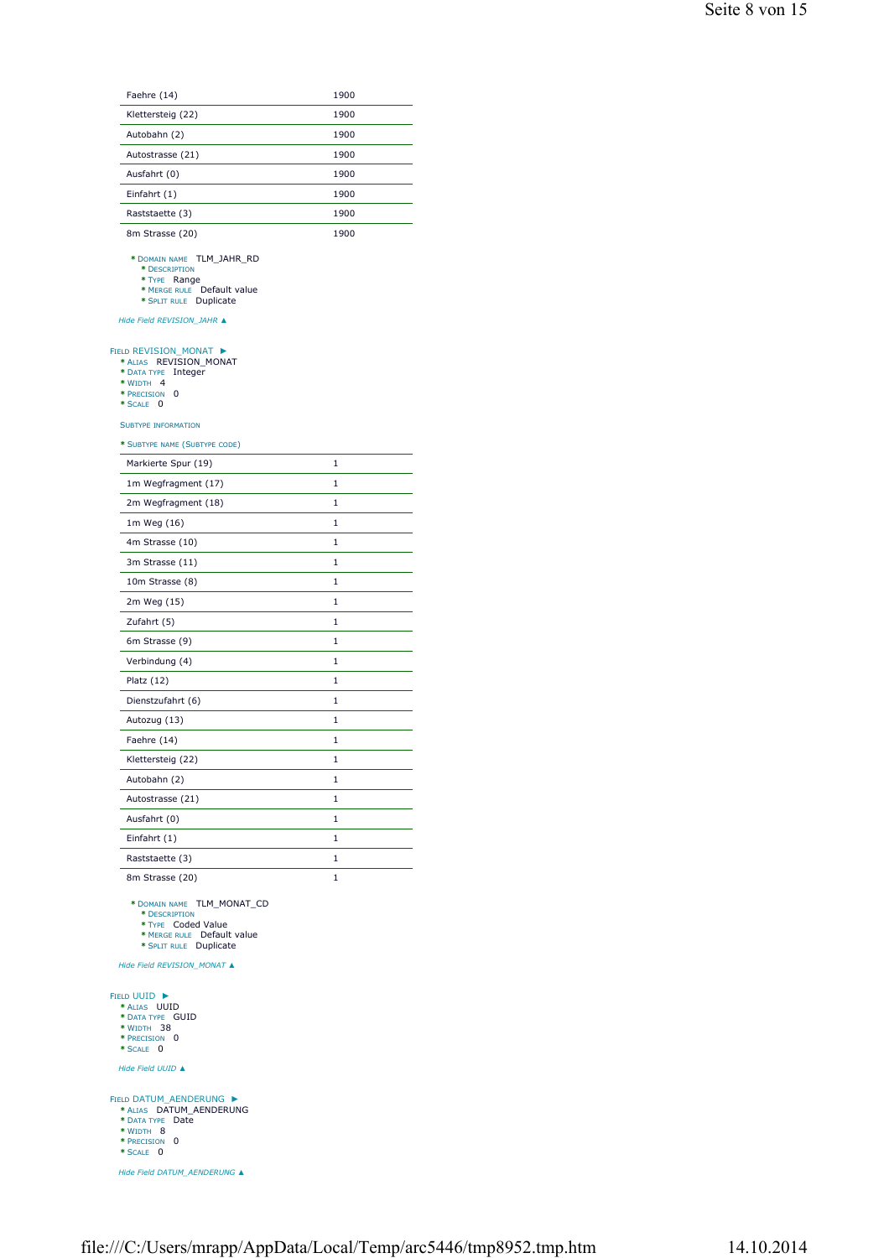| Faehre (14)                                                                                                                                  | 1900 |
|----------------------------------------------------------------------------------------------------------------------------------------------|------|
| Klettersteig (22)                                                                                                                            | 1900 |
| Autobahn (2)                                                                                                                                 | 1900 |
| Autostrasse (21)                                                                                                                             | 1900 |
| Ausfahrt (0)                                                                                                                                 | 1900 |
| Einfahrt (1)                                                                                                                                 | 1900 |
| Raststaette (3)                                                                                                                              | 1900 |
| 8m Strasse (20)                                                                                                                              | 1900 |
| * DOMAIN NAME TLM_JAHR_RD<br>* DESCRIPTION<br>* TYPE Range<br>* MERGE RULE Default value<br>* SPLIT RULE Duplicate                           |      |
| Hide Field REVISION_JAHR ▲                                                                                                                   |      |
| FIELD REVISION_MONAT ▶<br>* ALIAS REVISION_MONAT<br>* DATA TYPE<br>Integer<br>* WIDTH 4<br>* PRECISION<br>0<br>* SCALE<br>0                  |      |
| <b>SUBTYPE INFORMATION</b>                                                                                                                   |      |
| * SUBTYPE NAME (SUBTYPE CODE)                                                                                                                |      |
| Markierte Spur (19)                                                                                                                          | 1    |
| 1m Wegfragment (17)                                                                                                                          | 1    |
| 2m Wegfragment (18)                                                                                                                          | 1    |
| 1m Weg (16)                                                                                                                                  | 1    |
| 4m Strasse (10)                                                                                                                              | 1    |
| 3m Strasse (11)                                                                                                                              | 1    |
| 10m Strasse (8)                                                                                                                              | 1    |
| 2m Weg (15)                                                                                                                                  | 1    |
| Zufahrt (5)                                                                                                                                  | 1    |
| 6m Strasse (9)                                                                                                                               | 1    |
| Verbindung (4)                                                                                                                               | 1    |
| Platz $(12)$                                                                                                                                 | 1    |
| Dienstzufahrt (6)                                                                                                                            | 1    |
| Autozug (13)                                                                                                                                 | 1    |
| Faehre (14)                                                                                                                                  | 1    |
| Klettersteig (22)                                                                                                                            | 1    |
| Autobahn (2)                                                                                                                                 | 1    |
| Autostrasse (21)                                                                                                                             | 1    |
|                                                                                                                                              |      |
| Ausfahrt (0)                                                                                                                                 | 1    |
| Einfahrt (1)                                                                                                                                 | 1    |
| Raststaette (3)                                                                                                                              | 1    |
| 8m Strasse (20)<br>* DOMAIN NAME TLM_MONAT_CD<br>* DESCRIPTION<br>* TYPE Coded Value<br>* MERGE RULE Default value<br>* SPLIT RULE Duplicate | 1    |
| Hide Field REVISION_MONAT ▲                                                                                                                  |      |
| <b>FIELD UUID ▶</b><br>* ALIAS UUID<br>* DATA TYPE GUID<br>* WIDTH 38<br>* PRECISION 0<br>* SCALE 0<br>Hide Field UUID ▲                     |      |
| FIELD DATUM_AENDERUNG ▶                                                                                                                      |      |

**FIELD DATUM\_AENDERUNG <br>
<b>\*** ALIAS DATUM\_AENDERUNG<br>
\* DATA TYPE Date<br>
\* WIDTH 8<br>
\* PRECISION 0<br>
\* PRECISION 0

*Hide Field DATUM\_AENDERUNG ▲*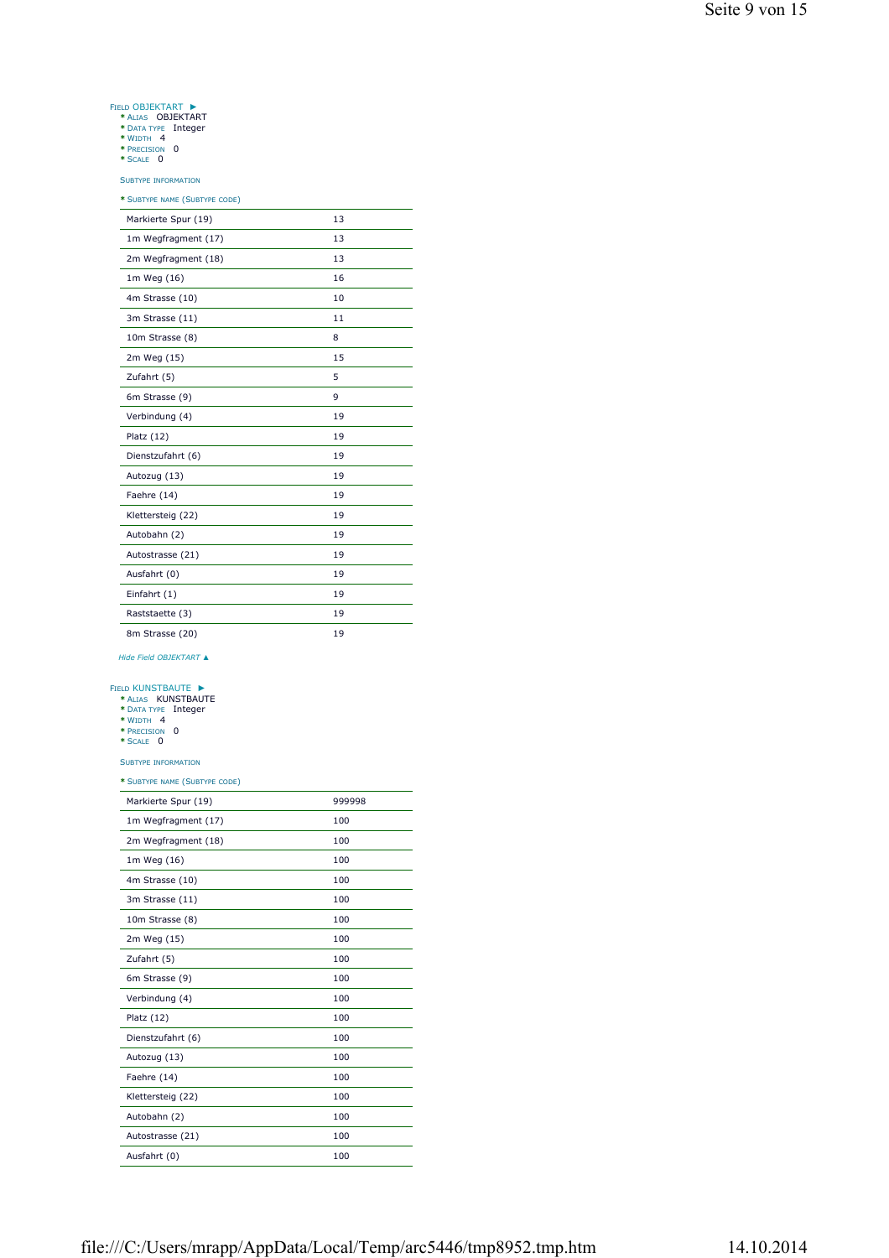## ►

- FIELD OBJEKTART **\*** ALIAS OBJEKTART **\*** DATA TYPE Integer **\*** WIDTH 4 **\*** PRECISION 0 **\*** SCALE 0
	-
	-
	-

SUBTYPE INFORMATION

## **\*** SUBTYPE NAME (SUBTYPE CODE)

| Markierte Spur (19) | 13 |
|---------------------|----|
| 1m Wegfragment (17) | 13 |
| 2m Wegfragment (18) | 13 |
| 1m Weg (16)         | 16 |
| 4m Strasse (10)     | 10 |
| 3m Strasse (11)     | 11 |
| 10m Strasse (8)     | 8  |
| 2m Weg (15)         | 15 |
| Zufahrt (5)         | 5  |
| 6m Strasse (9)      | 9  |
| Verbindung (4)      | 19 |
| Platz $(12)$        | 19 |
| Dienstzufahrt (6)   | 19 |
| Autozug (13)        | 19 |
| Faehre (14)         | 19 |
| Klettersteig (22)   | 19 |
| Autobahn (2)        | 19 |
| Autostrasse (21)    | 19 |
| Ausfahrt (0)        | 19 |
| Einfahrt (1)        | 19 |
| Raststaette (3)     | 19 |
| 8m Strasse (20)     | 19 |

*Hide Field OBJEKTART ▲*

## FIELD KUNSTBAUTE ►

| * ALIAS KUNSTBAUTE  |  |
|---------------------|--|
| * DATA TYPE Integer |  |
| * WIDTH 4           |  |
| * PRECISION 0       |  |
| $*$ SCALE 0         |  |

- 
- 
- 
- SUBTYPE INFORMATION

| Markierte Spur (19) | 999998 |
|---------------------|--------|
| 1m Wegfragment (17) | 100    |
| 2m Wegfragment (18) | 100    |
| 1m Weg (16)         | 100    |
| 4m Strasse (10)     | 100    |
| 3m Strasse (11)     | 100    |
| 10m Strasse (8)     | 100    |
| 2m Weg (15)         | 100    |
| Zufahrt (5)         | 100    |
| 6m Strasse (9)      | 100    |
| Verbindung (4)      | 100    |
| Platz (12)          | 100    |
| Dienstzufahrt (6)   | 100    |
| Autozug (13)        | 100    |
| Faehre (14)         | 100    |
| Klettersteig (22)   | 100    |
| Autobahn (2)        | 100    |
| Autostrasse (21)    | 100    |
| Ausfahrt (0)        | 100    |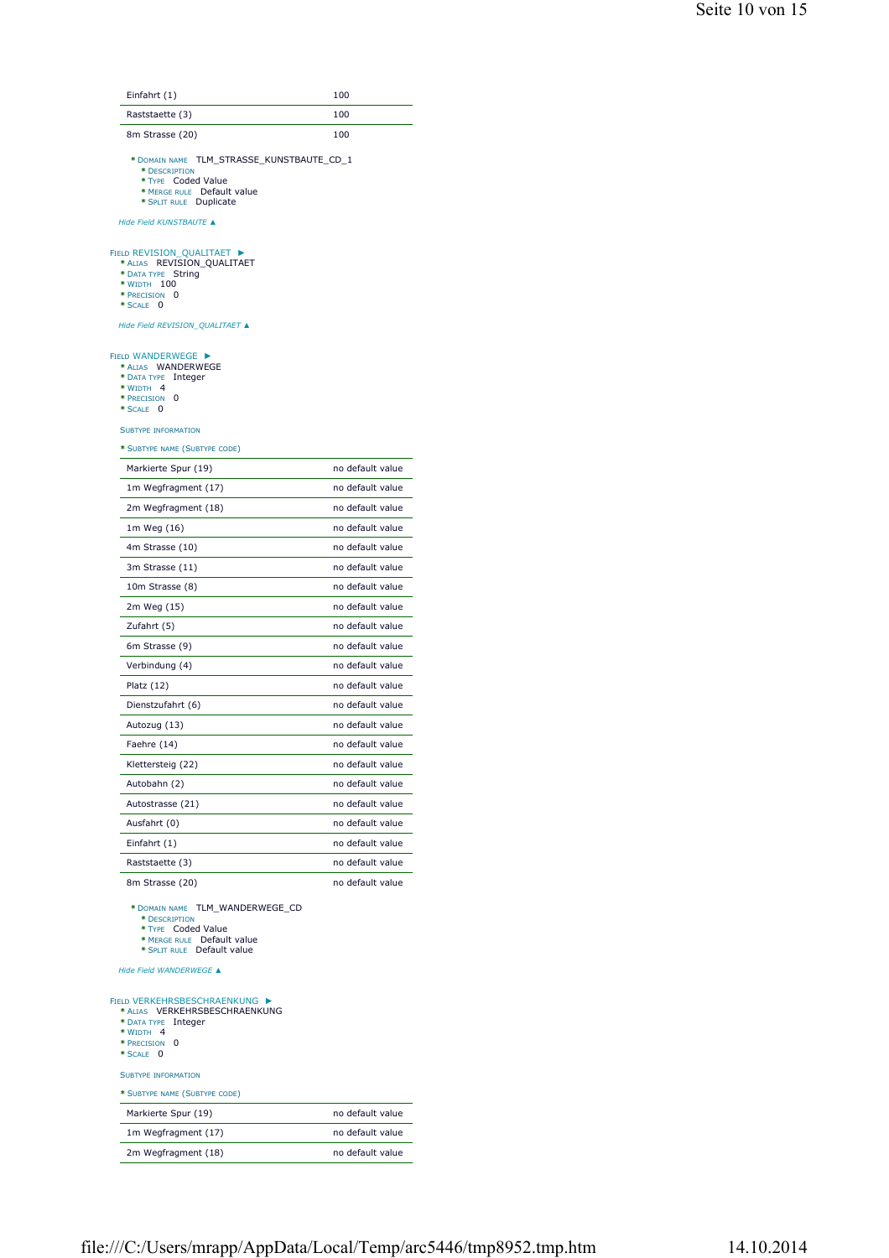| Einfahrt (1)                                                                                                                                | 100              |
|---------------------------------------------------------------------------------------------------------------------------------------------|------------------|
| Raststaette (3)                                                                                                                             | 100              |
| 8m Strasse (20)                                                                                                                             | 100              |
| TLM_STRASSE_KUNSTBAUTE_CD_1<br>* DOMAIN NAME                                                                                                |                  |
| * DESCRIPTION<br>* TYPE Coded Value                                                                                                         |                  |
| * MERGE RULE Default value<br>* SPLIT RULE Duplicate                                                                                        |                  |
| Hide Field KUNSTBAUTE ▲                                                                                                                     |                  |
| FIELD REVISION QUALITAET ><br>REVISION_QUALITAET<br>* ALIAS<br>String<br>* DATA TYPE                                                        |                  |
| * WIDTH 100<br>* PRECISION<br>0                                                                                                             |                  |
| * SCALE 0                                                                                                                                   |                  |
| Hide Field REVISION_QUALITAET ▲                                                                                                             |                  |
| <b>FIELD WANDERWEGE</b><br>* ALIAS WANDERWEGE<br>* DATA TYPE Integer<br>* WIDTH 4                                                           |                  |
| * PRECISION<br>0<br>* SCALE 0                                                                                                               |                  |
| <b>SUBTYPE INFORMATION</b>                                                                                                                  |                  |
| * SUBTYPE NAME (SUBTYPE CODE)                                                                                                               |                  |
| Markierte Spur (19)                                                                                                                         | no default value |
| 1m Wegfragment (17)                                                                                                                         | no default value |
| 2m Wegfragment (18)                                                                                                                         | no default value |
| 1m Weg (16)                                                                                                                                 | no default value |
| 4m Strasse (10)                                                                                                                             | no default value |
| 3m Strasse (11)                                                                                                                             | no default value |
| 10m Strasse (8)                                                                                                                             | no default value |
| 2m Weg (15)                                                                                                                                 | no default value |
| Zufahrt (5)                                                                                                                                 | no default value |
| 6m Strasse (9)                                                                                                                              | no default value |
| Verbindung (4)                                                                                                                              | no default value |
| Platz (12)                                                                                                                                  | no default value |
| Dienstzufahrt (6)                                                                                                                           | no default value |
| Autozug (13)                                                                                                                                | no default value |
| Faehre (14)                                                                                                                                 | no default value |
| Klettersteig (22)                                                                                                                           | no default value |
| Autobahn (2)                                                                                                                                | no default value |
| Autostrasse (21)                                                                                                                            | no default value |
| Ausfahrt (0)                                                                                                                                | no default value |
| Einfahrt (1)                                                                                                                                | no default value |
| Raststaette (3)                                                                                                                             | no default value |
| 8m Strasse (20)                                                                                                                             | no default value |
| * DOMAIN NAME TLM_WANDERWEGE_CD<br>* DESCRIPTION<br>* TYPE Coded Value<br>* MERGE RULE Default value<br>* SPLIT RULE Default value          |                  |
| Hide Field WANDERWEGE ▲                                                                                                                     |                  |
| <b>FIELD VERKEHRSBESCHRAENKUNG</b><br>* ALIAS VERKEHRSBESCHRAENKUNG<br>* DATA TYPE<br>Integer<br>* WIDTH 4<br>0<br>* PRECISION<br>* SCALE 0 |                  |
| <b>SUBTYPE INFORMATION</b>                                                                                                                  |                  |
| * SUBTYPE NAME (SUBTYPE CODE)                                                                                                               |                  |
| Markierte Spur (19)                                                                                                                         | no default value |
| 1m Wegfragment (17)                                                                                                                         | no default value |
|                                                                                                                                             |                  |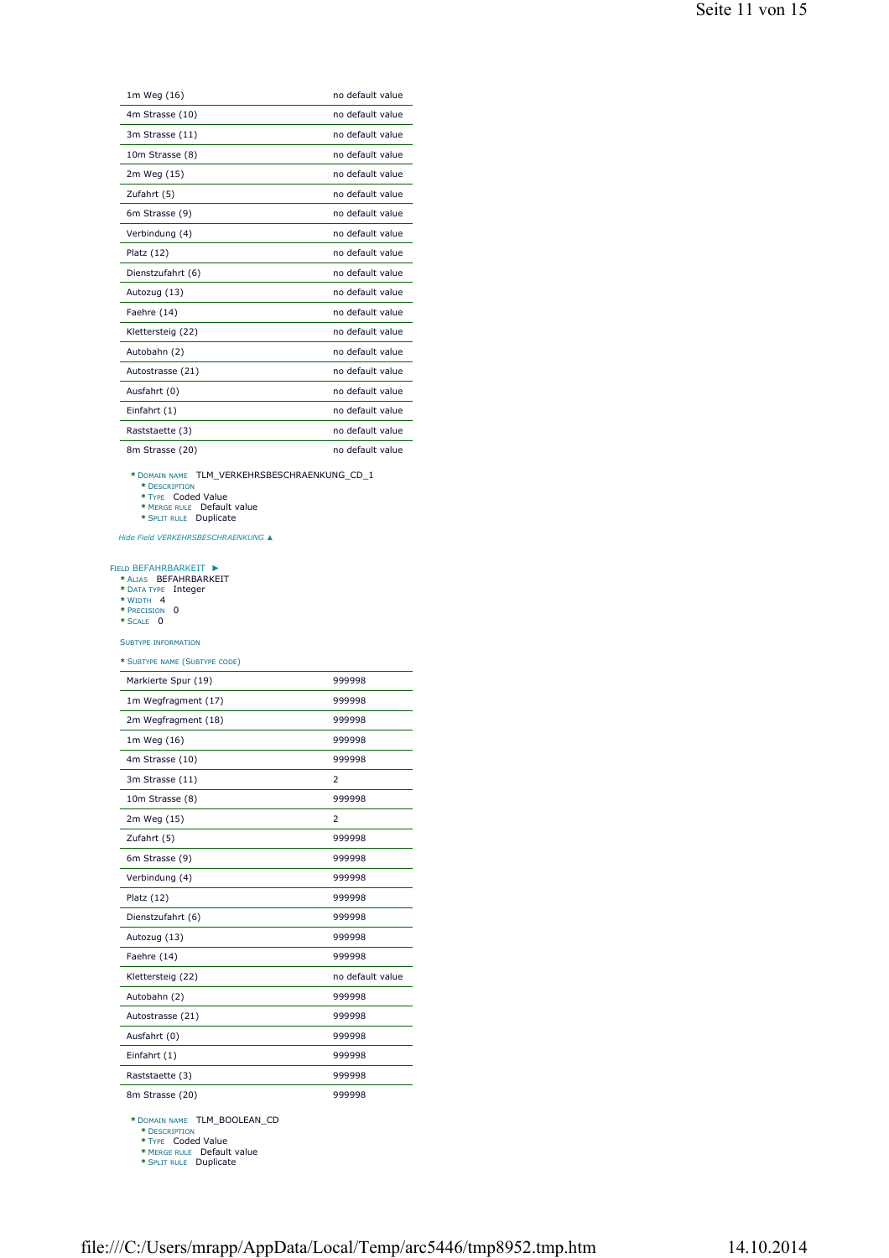| Seite 11 von 15 |  |  |
|-----------------|--|--|
|-----------------|--|--|

| 1m Weg (16)       | no default value |
|-------------------|------------------|
| 4m Strasse (10)   | no default value |
| 3m Strasse (11)   | no default value |
| 10m Strasse (8)   | no default value |
| 2m Weg (15)       | no default value |
| Zufahrt (5)       | no default value |
| 6m Strasse (9)    | no default value |
| Verbindung (4)    | no default value |
| Platz (12)        | no default value |
| Dienstzufahrt (6) | no default value |
| Autozug (13)      | no default value |
| Faehre (14)       | no default value |
| Klettersteig (22) | no default value |
| Autobahn (2)      | no default value |
| Autostrasse (21)  | no default value |
| Ausfahrt (0)      | no default value |
| Einfahrt (1)      | no default value |
| Raststaette (3)   | no default value |
| 8m Strasse (20)   | no default value |

**\*** DOMAIN NAME TLM\_VERKEHRSBESCHRAENKUNG\_CD\_1 **\*** DESCRIPTION **\*** TYPE Coded Value **\*** MERGE RULE Default value **\*** SPLIT RULE Duplicate

*Hide Field VERKEHRSBESCHRAENKUNG ▲*

## FIELD BEFAHRBARKEIT<br> **\*** Alias **BEFAHRBARKEIT**<br> **\*** DATA TYPE Integer<br> **\*** WIDTH 4<br> **\*** PRECISION 0<br> **\*** SCALE 0 ►

## SUBTYPE INFORMATION

## **\*** SUBTYPE NAME (SUBTYPE CODE)

| Markierte Spur (19) | 999998           |
|---------------------|------------------|
| 1m Wegfragment (17) | 999998           |
| 2m Wegfragment (18) | 999998           |
| 1m Weg (16)         | 999998           |
| 4m Strasse (10)     | 999998           |
| 3m Strasse (11)     | $\overline{2}$   |
| 10m Strasse (8)     | 999998           |
| 2m Weg (15)         | $\overline{2}$   |
| Zufahrt (5)         | 999998           |
| 6m Strasse (9)      | 999998           |
| Verbindung (4)      | 999998           |
| Platz (12)          | 999998           |
| Dienstzufahrt (6)   | 999998           |
| Autozug (13)        | 999998           |
| Faehre (14)         | 999998           |
| Klettersteig (22)   | no default value |
| Autobahn (2)        | 999998           |
| Autostrasse (21)    | 999998           |
| Ausfahrt (0)        | 999998           |
| Einfahrt (1)        | 999998           |
| Raststaette (3)     | 999998           |
| 8m Strasse (20)     | 999998           |

**\*** DOMAIN NAME TLM\_BOOLEAN\_CD **\*** DESCRIPTION **\*** TYPE Coded Value **\*** MERGE RULE Default value **\*** SPLIT RULE Duplicate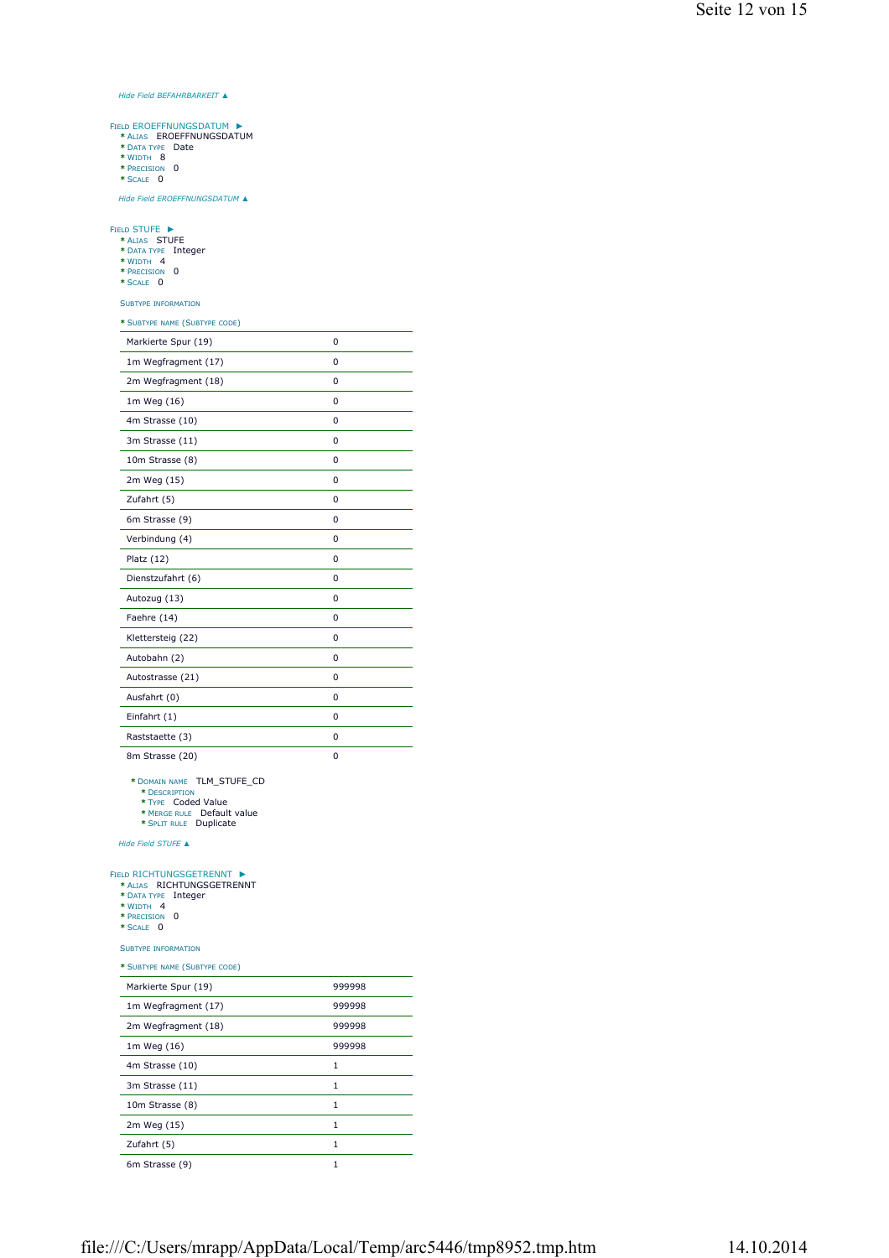## *Hide Field BEFAHRBARKEIT ▲*

►

- FIELD EROEFFNUNGSDATUM<br> **\*** Alias EROEFFNUNGSDATUM<br> **\*** Data Type Date<br> **\*** WIDTH 8<br> **\*** PRECISION 0
	-
	-

**\*** SCALE 0

*Hide Field EROEFFNUNGSDATUM ▲*

#### ►

- FIELD STUFE **\*** ALIAS STUFE **\*** DATA TYPE Integer **\*** WIDTH 4 **\*** PRECISION 0 **\*** SCALE 0
	-
	-
	-

## SUBTYPE INFORMATION

| * SUBTYPE NAME (SUBTYPE CODE) |          |
|-------------------------------|----------|
| Markierte Spur (19)           | 0        |
| 1m Wegfragment (17)           | $\Omega$ |
| 2m Wegfragment (18)           | $\Omega$ |
| 1m Weg (16)                   | 0        |
| 4m Strasse (10)               | $\Omega$ |
| 3m Strasse (11)               | $\Omega$ |
| 10m Strasse (8)               | 0        |
| 2m Weg (15)                   | $\Omega$ |
| Zufahrt (5)                   | $\Omega$ |
| 6m Strasse (9)                | 0        |
| Verbindung (4)                | 0        |
| Platz (12)                    | $\Omega$ |
| Dienstzufahrt (6)             | $\Omega$ |
| Autozug (13)                  | 0        |
| Faehre (14)                   | $\Omega$ |
| Klettersteig (22)             | $\Omega$ |
| Autobahn (2)                  | 0        |
| Autostrasse (21)              | $\Omega$ |
| Ausfahrt (0)                  | $\Omega$ |
| Einfahrt (1)                  | $\Omega$ |
| Raststaette (3)               | 0        |
|                               |          |

8m Strasse (20) 0

**\*** DOMAIN NAME TLM\_STUFE\_CD

**\*** DESCRIPTION **\*** TYPE Coded Value

**\*** MERGE RULE Default value **\*** SPLIT RULE Duplicate

*Hide Field STUFE ▲*

#### FIELD RICHTUNGSGETRENNT ►

| * ALTAS | RICHTUNGSGETRENNT   |  |
|---------|---------------------|--|
|         | * DATA TYPE Integer |  |

- 
- 
- **\*** WIDTH 4 **\*** PRECISION 0 **\*** SCALE 0

SUBTYPE INFORMATION

| Markierte Spur (19) | 999998       |
|---------------------|--------------|
| 1m Wegfragment (17) | 999998       |
| 2m Wegfragment (18) | 999998       |
| 1m Weg (16)         | 999998       |
| 4m Strasse (10)     | 1            |
| 3m Strasse (11)     | 1            |
| 10m Strasse (8)     | 1            |
| 2m Weg (15)         | $\mathbf{1}$ |
| Zufahrt (5)         | 1            |
| 6m Strasse (9)      | 1            |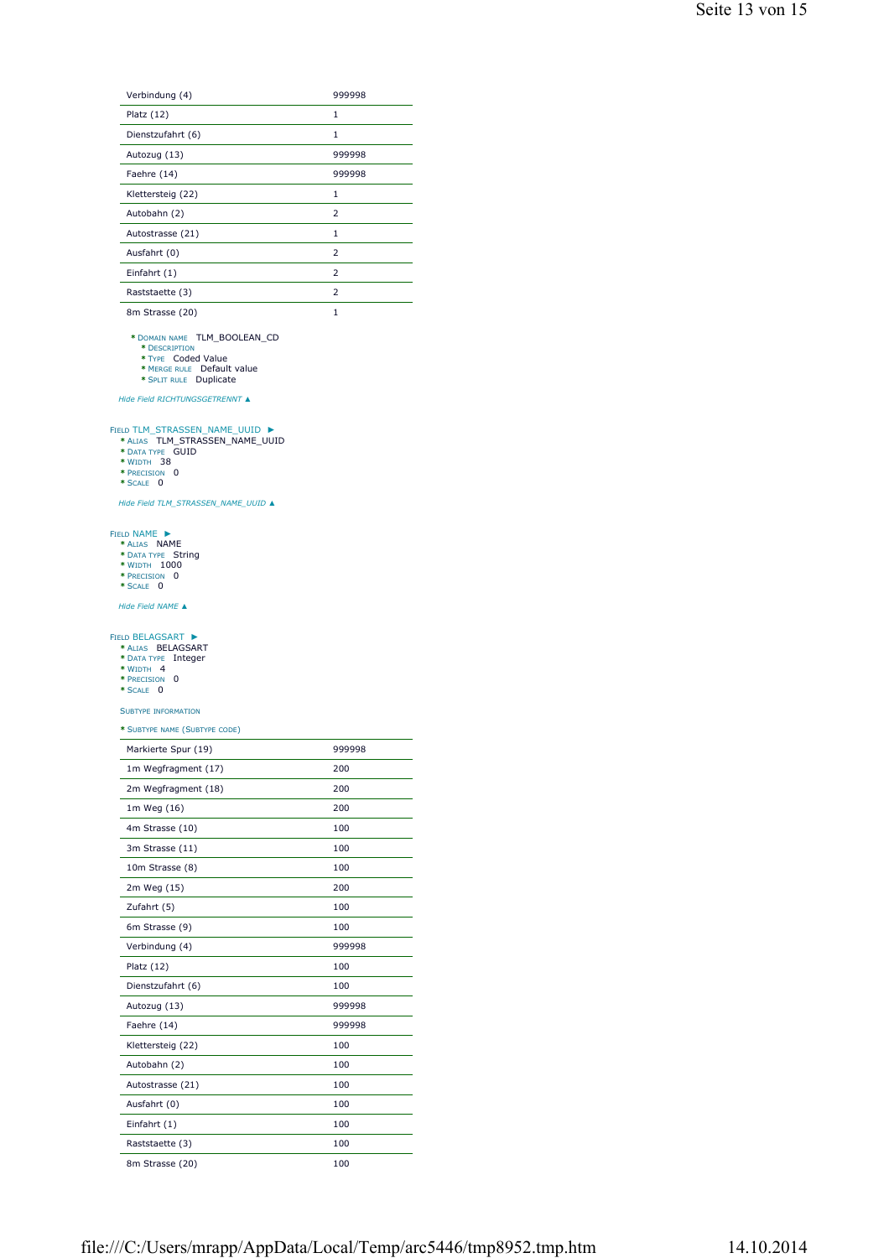| Verbindung (4)    | 999998         |
|-------------------|----------------|
| Platz $(12)$      | $\mathbf{1}$   |
| Dienstzufahrt (6) | 1              |
| Autozug (13)      | 999998         |
| Faehre (14)       | 999998         |
| Klettersteig (22) | 1              |
| Autobahn (2)      | $\overline{2}$ |
| Autostrasse (21)  | 1              |
| Ausfahrt (0)      | $\overline{2}$ |
| Einfahrt (1)      | $\overline{2}$ |
| Raststaette (3)   | $\overline{2}$ |
| 8m Strasse (20)   | 1              |

**\*** DOMAIN NAME TLM\_BOOLEAN\_CD **\*** DESCRIPTION **\*** TYPE Coded Value **\*** MERGE RULE Default value **\*** SPLIT RULE Duplicate

*Hide Field RICHTUNGSGETRENNT ▲*

## FIELD TLM\_STRASSEN\_NAME\_UUID **|\***<br>
\* ALIAS TLM\_STRASSEN\_NAME\_UUID<br>
\* DATA TYPE GUID<br>
\* WIDTH 38<br>
\* PRECISION 0<br>
\* SCALE 0 ►

- 
- 
- 
- 

*Hide Field TLM\_STRASSEN\_NAME\_UUID ▲*

#### ►

- **\*** ALIAS **NAME**<br> **\*** Data type String<br> **\*** WIDTH 1000<br> **\*** PRECISION 0<br> **\*** SCALE 0
- 
- 
- 
- *Hide Field NAME ▲*

#### FIELD BELAGSART ►

| * ALIAS BELAGSART               |         |
|---------------------------------|---------|
| * DATA TYPE                     | Integer |
| $*$ M <sub>IDTH</sub> $\Lambda$ |         |

- **\*** WIDTH 4 **\*** PRECISION 0 **\*** SCALE 0
- 
- SUBTYPE INFORMATION

| Markierte Spur (19) | 999998 |
|---------------------|--------|
| 1m Wegfragment (17) | 200    |
| 2m Wegfragment (18) | 200    |
| 1m Weg (16)         | 200    |
| 4m Strasse (10)     | 100    |
| 3m Strasse (11)     | 100    |
| 10m Strasse (8)     | 100    |
| 2m Weg (15)         | 200    |
| Zufahrt (5)         | 100    |
| 6m Strasse (9)      | 100    |
| Verbindung (4)      | 999998 |
| Platz (12)          | 100    |
| Dienstzufahrt (6)   | 100    |
| Autozug (13)        | 999998 |
| Faehre (14)         | 999998 |
| Klettersteig (22)   | 100    |
| Autobahn (2)        | 100    |
| Autostrasse (21)    | 100    |
| Ausfahrt (0)        | 100    |
| Einfahrt (1)        | 100    |
| Raststaette (3)     | 100    |
| 8m Strasse (20)     | 100    |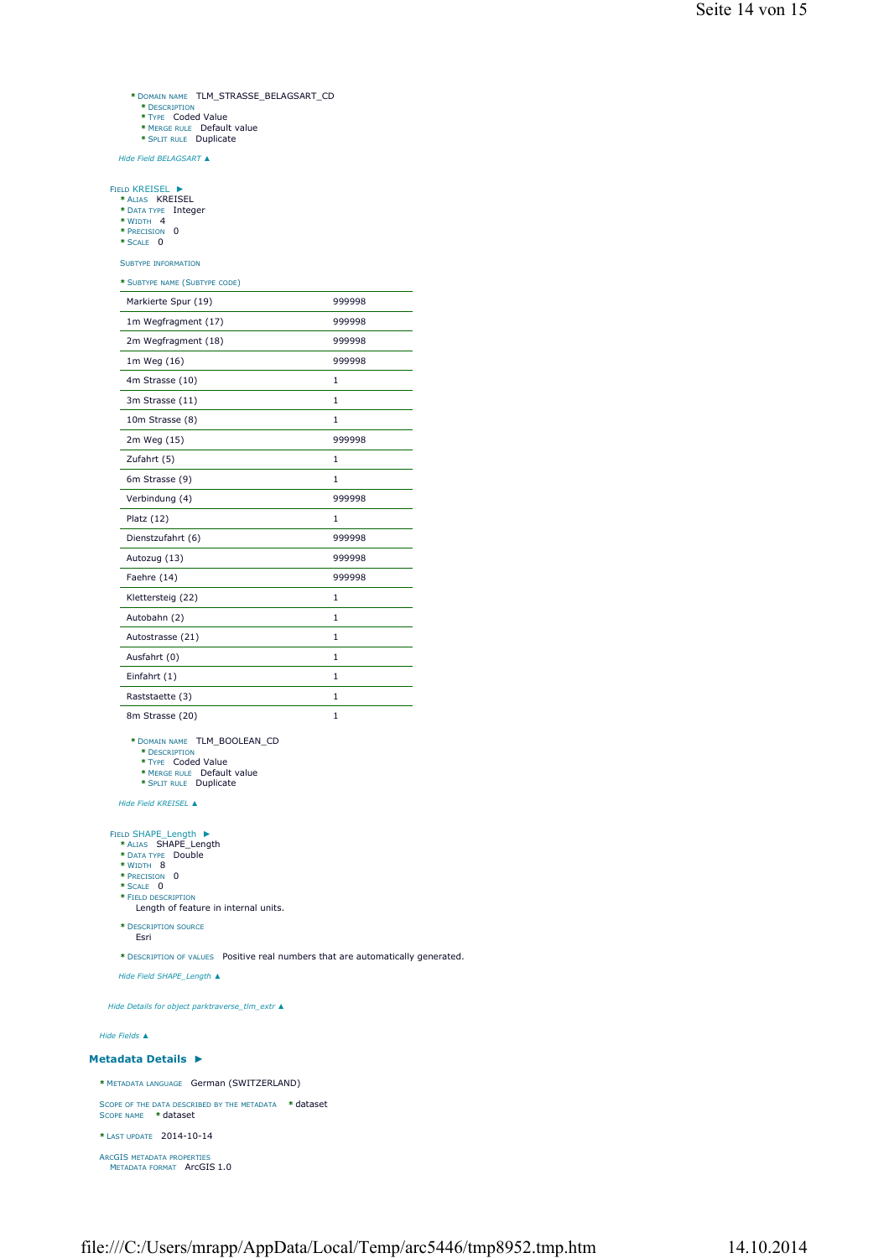- **\*** DOMAIN NAME TLM\_STRASSE\_BELAGSART\_CD
- **\*** DESCRIPTION **\*** TYPE Coded Value
- 
- **\*** MERGE RULE Default value **\*** SPLIT RULE Duplicate

*Hide Field BELAGSART ▲*

►

- FIELD KREISEL **\*** ALIAS KREISEL **\*** DATA TYPE Integer **\*** WIDTH 4 **\*** PRECISION 0
- 
- **\*** SCALE 0
- SUBTYPE INFORMATION

**\*** SUBTYPE NAME (SUBTYPE CODE)

| Markierte Spur (19) | 999998       |
|---------------------|--------------|
| 1m Wegfragment (17) | 999998       |
| 2m Wegfragment (18) | 999998       |
| 1m Weg (16)         | 999998       |
| 4m Strasse (10)     | $\mathbf{1}$ |
| 3m Strasse (11)     | $\mathbf{1}$ |
| 10m Strasse (8)     | $\mathbf{1}$ |
| 2m Weg (15)         | 999998       |
| Zufahrt (5)         | $\mathbf{1}$ |
| 6m Strasse (9)      | $\mathbf{1}$ |
| Verbindung (4)      | 999998       |
| Platz $(12)$        | 1            |
| Dienstzufahrt (6)   | 999998       |
| Autozug (13)        | 999998       |
| Faehre (14)         | 999998       |
| Klettersteig (22)   | $\mathbf{1}$ |
| Autobahn (2)        | 1            |
| Autostrasse (21)    | $\mathbf{1}$ |
| Ausfahrt (0)        |              |
|                     | $\mathbf{1}$ |
| Einfahrt (1)        | 1            |
| Raststaette (3)     | $\mathbf{1}$ |

**\*** DOMAIN NAME TLM\_BOOLEAN\_CD **\*** DESCRIPTION **\*** TYPE Coded Value

- 
- 
- **\*** MERGE RULE Default value **\*** SPLIT RULE Duplicate

*Hide Field KREISEL ▲*

#### ►

- **FIELD SHAPE\_Length**  $*$ <br>  $*$  ALIAS **SHAPE\_Length**<br>  $*$  DATA TYPE Double<br>  $*$  WIDTH 8<br>  $*$  PRECISION 0<br>  $*$  SCALE 0
	-
	-
	-
	-
	- **\*** FIELD DESCRIPTION Length of feature in internal units.
	- **\*** DESCRIPTION SOURCE Esri
- **\*** DESCRIPTION OF VALUES Positive real numbers that are automatically generated.

*Hide Field SHAPE\_Length ▲*

*Hide Details for object parktraverse\_tlm\_extr ▲*

*Hide Fields ▲*

## **Metadata Details ►**

**\*** METADATA LANGUAGE German (SWITZERLAND) SCOPE OF THE DATA DESCRIBED BY THE METADATA **\*** dataset SCOPE NAME **\*** dataset

**\*** LAST UPDATE 2014-10-14

```
ARCGIS METADATA PROPERTIES
METADATA FORMAT ArcGIS 1.0
```